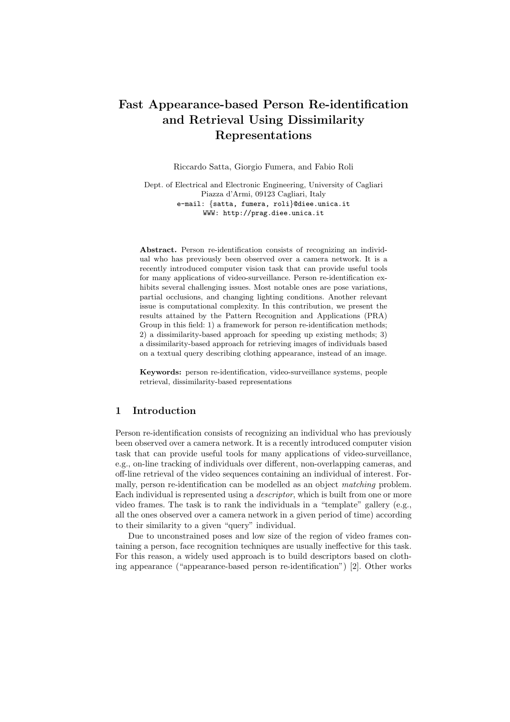# Fast Appearance-based Person Re-identification and Retrieval Using Dissimilarity Representations

Riccardo Satta, Giorgio Fumera, and Fabio Roli

Dept. of Electrical and Electronic Engineering, University of Cagliari Piazza d'Armi, 09123 Cagliari, Italy e-mail: {satta, fumera, roli}@diee.unica.it WWW: http://prag.diee.unica.it

Abstract. Person re-identification consists of recognizing an individual who has previously been observed over a camera network. It is a recently introduced computer vision task that can provide useful tools for many applications of video-surveillance. Person re-identification exhibits several challenging issues. Most notable ones are pose variations, partial occlusions, and changing lighting conditions. Another relevant issue is computational complexity. In this contribution, we present the results attained by the Pattern Recognition and Applications (PRA) Group in this field: 1) a framework for person re-identification methods: 2) a dissimilarity-based approach for speeding up existing methods; 3) a dissimilarity-based approach for retrieving images of individuals based on a textual query describing clothing appearance, instead of an image.

Keywords: person re-identification, video-surveillance systems, people retrieval, dissimilarity-based representations

# 1 Introduction

Person re-identification consists of recognizing an individual who has previously been observed over a camera network. It is a recently introduced computer vision task that can provide useful tools for many applications of video-surveillance, e.g., on-line tracking of individuals over different, non-overlapping cameras, and off-line retrieval of the video sequences containing an individual of interest. Formally, person re-identification can be modelled as an object matching problem. Each individual is represented using a descriptor, which is built from one or more video frames. The task is to rank the individuals in a "template" gallery (e.g., all the ones observed over a camera network in a given period of time) according to their similarity to a given "query" individual.

Due to unconstrained poses and low size of the region of video frames containing a person, face recognition techniques are usually ineffective for this task. For this reason, a widely used approach is to build descriptors based on clothing appearance ("appearance-based person re-identification") [2]. Other works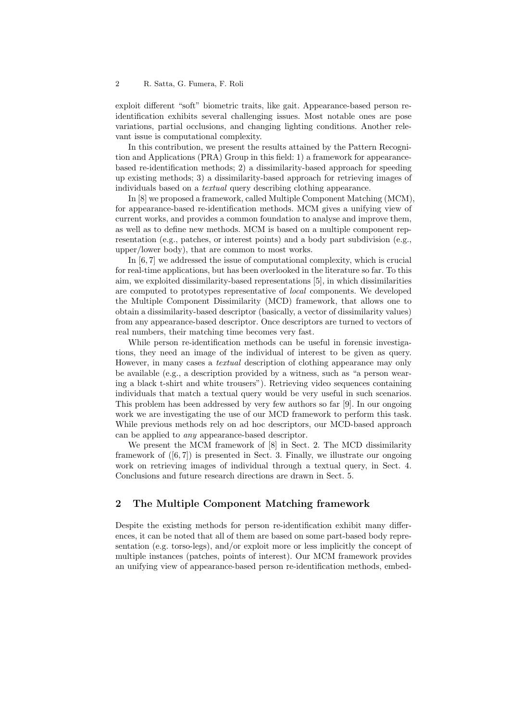exploit different "soft" biometric traits, like gait. Appearance-based person reidentification exhibits several challenging issues. Most notable ones are pose variations, partial occlusions, and changing lighting conditions. Another relevant issue is computational complexity.

In this contribution, we present the results attained by the Pattern Recognition and Applications (PRA) Group in this field: 1) a framework for appearancebased re-identification methods; 2) a dissimilarity-based approach for speeding up existing methods; 3) a dissimilarity-based approach for retrieving images of individuals based on a textual query describing clothing appearance.

In [8] we proposed a framework, called Multiple Component Matching (MCM), for appearance-based re-identification methods. MCM gives a unifying view of current works, and provides a common foundation to analyse and improve them, as well as to define new methods. MCM is based on a multiple component representation (e.g., patches, or interest points) and a body part subdivision (e.g., upper/lower body), that are common to most works.

In [6, 7] we addressed the issue of computational complexity, which is crucial for real-time applications, but has been overlooked in the literature so far. To this aim, we exploited dissimilarity-based representations [5], in which dissimilarities are computed to prototypes representative of local components. We developed the Multiple Component Dissimilarity (MCD) framework, that allows one to obtain a dissimilarity-based descriptor (basically, a vector of dissimilarity values) from any appearance-based descriptor. Once descriptors are turned to vectors of real numbers, their matching time becomes very fast.

While person re-identification methods can be useful in forensic investigations, they need an image of the individual of interest to be given as query. However, in many cases a textual description of clothing appearance may only be available (e.g., a description provided by a witness, such as "a person wearing a black t-shirt and white trousers"). Retrieving video sequences containing individuals that match a textual query would be very useful in such scenarios. This problem has been addressed by very few authors so far [9]. In our ongoing work we are investigating the use of our MCD framework to perform this task. While previous methods rely on ad hoc descriptors, our MCD-based approach can be applied to any appearance-based descriptor.

We present the MCM framework of [8] in Sect. 2. The MCD dissimilarity framework of  $([6, 7])$  is presented in Sect. 3. Finally, we illustrate our ongoing work on retrieving images of individual through a textual query, in Sect. 4. Conclusions and future research directions are drawn in Sect. 5.

# 2 The Multiple Component Matching framework

Despite the existing methods for person re-identification exhibit many differences, it can be noted that all of them are based on some part-based body representation (e.g. torso-legs), and/or exploit more or less implicitly the concept of multiple instances (patches, points of interest). Our MCM framework provides an unifying view of appearance-based person re-identification methods, embed-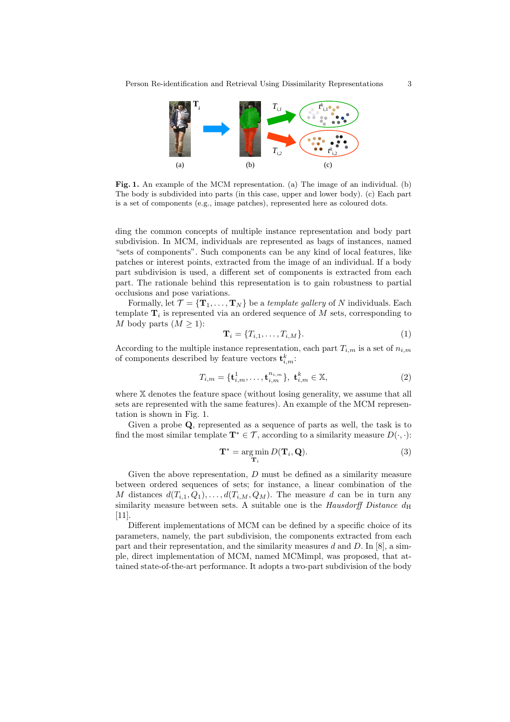

Fig. 1. An example of the MCM representation. (a) The image of an individual. (b) The body is subdivided into parts (in this case, upper and lower body). (c) Each part is a set of components (e.g., image patches), represented here as coloured dots.

ding the common concepts of multiple instance representation and body part subdivision. In MCM, individuals are represented as bags of instances, named "sets of components". Such components can be any kind of local features, like patches or interest points, extracted from the image of an individual. If a body part subdivision is used, a different set of components is extracted from each part. The rationale behind this representation is to gain robustness to partial occlusions and pose variations.

Formally, let  $\mathcal{T} = {\{\mathbf{T}_1,\ldots,\mathbf{T}_N\}}$  be a template gallery of N individuals. Each template  $\mathbf{T}_i$  is represented via an ordered sequence of M sets, corresponding to M body parts  $(M \geq 1)$ :

$$
\mathbf{T}_i = \{T_{i,1}, \dots, T_{i,M}\}.
$$
\n
$$
(1)
$$

According to the multiple instance representation, each part  $T_{i,m}$  is a set of  $n_{i,m}$ of components described by feature vectors  $\mathbf{t}_{i,m}^k$ :

$$
T_{i,m} = {\mathbf{t}_{i,m}^1, \dots, \mathbf{t}_{i,m}^{n_{i,m}}}, \ \mathbf{t}_{i,m}^k \in \mathbb{X},
$$
\n(2)

where X denotes the feature space (without losing generality, we assume that all sets are represented with the same features). An example of the MCM representation is shown in Fig. 1.

Given a probe Q, represented as a sequence of parts as well, the task is to find the most similar template  $\mathbf{T}^* \in \mathcal{T}$ , according to a similarity measure  $D(\cdot, \cdot)$ :

$$
\mathbf{T}^* = \underset{\mathbf{T}_i}{\arg\min} D(\mathbf{T}_i, \mathbf{Q}).\tag{3}
$$

Given the above representation, D must be defined as a similarity measure between ordered sequences of sets; for instance, a linear combination of the M distances  $d(T_{i,1}, Q_1), \ldots, d(T_{i,M}, Q_M)$ . The measure d can be in turn any similarity measure between sets. A suitable one is the *Hausdorff Distance*  $d_H$ [11].

Different implementations of MCM can be defined by a specific choice of its parameters, namely, the part subdivision, the components extracted from each part and their representation, and the similarity measures d and D. In  $[8]$ , a simple, direct implementation of MCM, named MCMimpl, was proposed, that attained state-of-the-art performance. It adopts a two-part subdivision of the body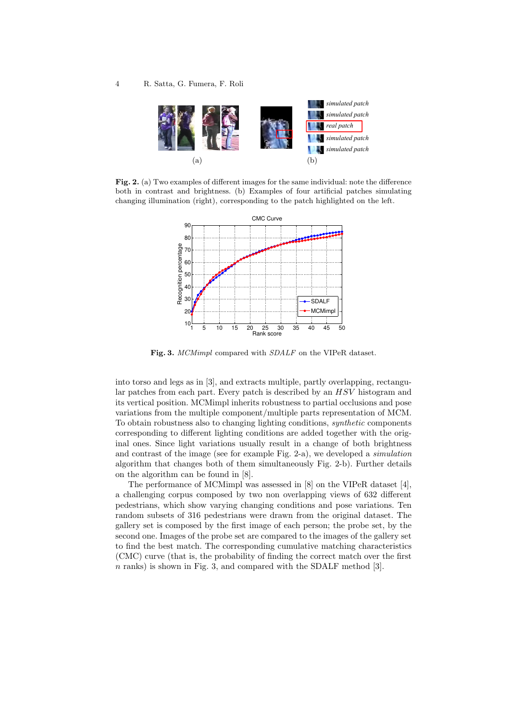

Fig. 2. (a) Two examples of different images for the same individual: note the difference both in contrast and brightness. (b) Examples of four artificial patches simulating changing illumination (right), corresponding to the patch highlighted on the left.



Fig. 3. MCMimpl compared with  $SDALE$  on the VIPeR dataset.

into torso and legs as in [3], and extracts multiple, partly overlapping, rectangular patches from each part. Every patch is described by an HSV histogram and its vertical position. MCMimpl inherits robustness to partial occlusions and pose variations from the multiple component/multiple parts representation of MCM. To obtain robustness also to changing lighting conditions, synthetic components corresponding to different lighting conditions are added together with the original ones. Since light variations usually result in a change of both brightness and contrast of the image (see for example Fig. 2-a), we developed a simulation algorithm that changes both of them simultaneously Fig. 2-b). Further details on the algorithm can be found in [8].

The performance of MCMimpl was assessed in [8] on the VIPeR dataset [4], a challenging corpus composed by two non overlapping views of 632 different pedestrians, which show varying changing conditions and pose variations. Ten random subsets of 316 pedestrians were drawn from the original dataset. The gallery set is composed by the first image of each person; the probe set, by the second one. Images of the probe set are compared to the images of the gallery set to find the best match. The corresponding cumulative matching characteristics (CMC) curve (that is, the probability of finding the correct match over the first  $n$  ranks) is shown in Fig. 3, and compared with the SDALF method [3].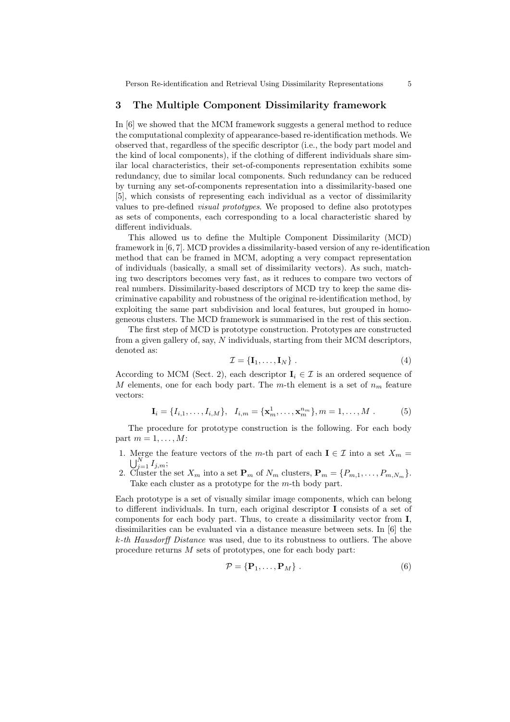Person Re-identification and Retrieval Using Dissimilarity Representations 5

### 3 The Multiple Component Dissimilarity framework

In [6] we showed that the MCM framework suggests a general method to reduce the computational complexity of appearance-based re-identification methods. We observed that, regardless of the specific descriptor (i.e., the body part model and the kind of local components), if the clothing of different individuals share similar local characteristics, their set-of-components representation exhibits some redundancy, due to similar local components. Such redundancy can be reduced by turning any set-of-components representation into a dissimilarity-based one [5], which consists of representing each individual as a vector of dissimilarity values to pre-defined visual prototypes. We proposed to define also prototypes as sets of components, each corresponding to a local characteristic shared by different individuals.

This allowed us to define the Multiple Component Dissimilarity (MCD) framework in [6, 7]. MCD provides a dissimilarity-based version of any re-identification method that can be framed in MCM, adopting a very compact representation of individuals (basically, a small set of dissimilarity vectors). As such, matching two descriptors becomes very fast, as it reduces to compare two vectors of real numbers. Dissimilarity-based descriptors of MCD try to keep the same discriminative capability and robustness of the original re-identification method, by exploiting the same part subdivision and local features, but grouped in homogeneous clusters. The MCD framework is summarised in the rest of this section.

The first step of MCD is prototype construction. Prototypes are constructed from a given gallery of, say, N individuals, starting from their MCM descriptors, denoted as:

$$
\mathcal{I} = \{ \mathbf{I}_1, \dots, \mathbf{I}_N \} \ . \tag{4}
$$

According to MCM (Sect. 2), each descriptor  $\mathbf{I}_i \in \mathcal{I}$  is an ordered sequence of M elements, one for each body part. The m-th element is a set of  $n<sub>m</sub>$  feature vectors:

$$
\mathbf{I}_i = \{I_{i,1}, \dots, I_{i,M}\}, \quad I_{i,m} = \{\mathbf{x}_m^1, \dots, \mathbf{x}_m^{n_m}\}, m = 1, \dots, M
$$
 (5)

The procedure for prototype construction is the following. For each body part  $m = 1, \ldots, M$ :

- 1. Merge the feature vectors of the m-th part of each  $I \in \mathcal{I}$  into a set  $X_m =$  $\bigcup_{j=1}^N I_{j,m};$
- 2. Cluster the set  $X_m$  into a set  $\mathbf{P}_m$  of  $N_m$  clusters,  $\mathbf{P}_m = \{P_{m,1}, \ldots, P_{m,N_m}\}.$ Take each cluster as a prototype for the m-th body part.

Each prototype is a set of visually similar image components, which can belong to different individuals. In turn, each original descriptor I consists of a set of components for each body part. Thus, to create a dissimilarity vector from I, dissimilarities can be evaluated via a distance measure between sets. In [6] the k-th Hausdorff Distance was used, due to its robustness to outliers. The above procedure returns M sets of prototypes, one for each body part:

$$
\mathcal{P} = \{ \mathbf{P}_1, \dots, \mathbf{P}_M \} \tag{6}
$$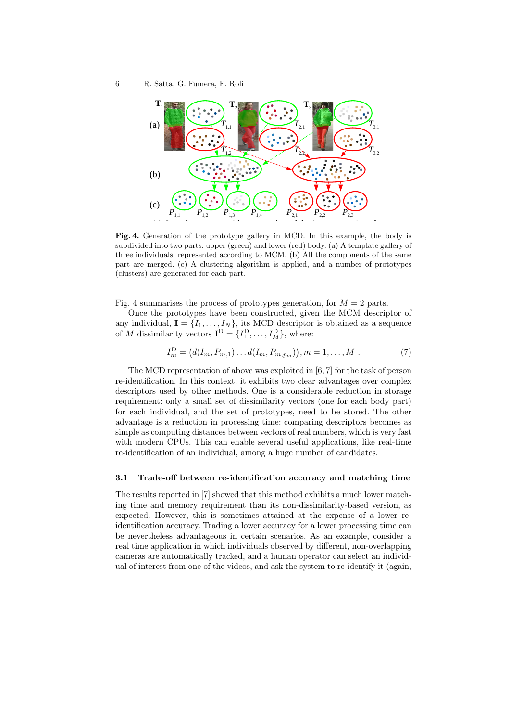

Fig. 4. Generation of the prototype gallery in MCD. In this example, the body is **upper (green)** and lower (red) body. (a) A template gallery of subdivided into two parts: upper (green) and lower (red) body. (a) A template gallery of *the components of the same part are (b) merged, and (c) clustered.* three individuals, represented according to MCM. (b) All the components of the same part are merged. (c) A clustering algorithm is applied, and a number of prototypes (clusters) are generated for each part.

Fig. 4 summarises the process of prototypes generation, for  $M = 2$  parts.

Once the prototypes have been constructed, given the MCM descriptor of any individual,  $I = \{I_1, \ldots, I_N\}$ , its MCD descriptor is obtained as a sequence of M dissimilarity vectors  $\mathbf{I}^{\text{D}} = \{I_1^{\text{D}}, \dots, I_M^{\text{D}}\}$ , where:

$$
I_m^{\rm D} = (d(I_m, P_{m,1}) \dots d(I_m, P_{m,p_m})), m = 1, \dots, M. \tag{7}
$$

The MCD representation of above was exploited in [6, 7] for the task of person re-identification. In this context, it exhibits two clear advantages over complex descriptors used by other methods. One is a considerable reduction in storage requirement: only a small set of dissimilarity vectors (one for each body part) for each individual, and the set of prototypes, need to be stored. The other advantage is a reduction in processing time: comparing descriptors becomes as simple as computing distances between vectors of real numbers, which is very fast with modern CPUs. This can enable several useful applications, like real-time re-identification of an individual, among a huge number of candidates.

### 3.1 Trade-off between re-identification accuracy and matching time

The results reported in [7] showed that this method exhibits a much lower matching time and memory requirement than its non-dissimilarity-based version, as expected. However, this is sometimes attained at the expense of a lower reidentification accuracy. Trading a lower accuracy for a lower processing time can be nevertheless advantageous in certain scenarios. As an example, consider a real time application in which individuals observed by different, non-overlapping cameras are automatically tracked, and a human operator can select an individual of interest from one of the videos, and ask the system to re-identify it (again,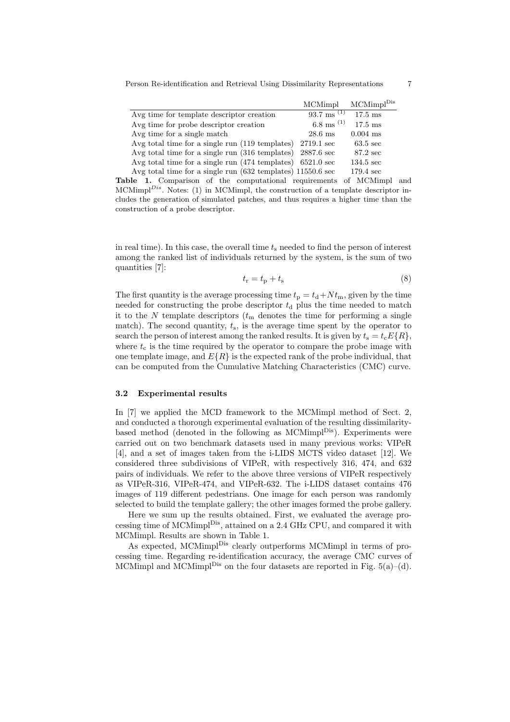Person Re-identification and Retrieval Using Dissimilarity Representations 7

|                                                                      | MCMimpl                          | $MCMimpl$ <sup>Dis</sup> |
|----------------------------------------------------------------------|----------------------------------|--------------------------|
| Avg time for template descriptor creation                            | $93.7 \text{ ms}$ <sup>(1)</sup> | $17.5 \text{ ms}$        |
| Avg time for probe descriptor creation                               | 6.8 ms $(1)$                     | $17.5 \text{ ms}$        |
| Avg time for a single match                                          | $28.6$ ms                        | $0.004$ ms               |
| Avg total time for a single run (119 templates)                      | 2719.1 sec                       | $63.5 \text{ sec}$       |
| Avg total time for a single run (316 templates)                      | $2887.6 \text{ sec}$             | 87.2 sec                 |
| Avg total time for a single run $(474 \text{ templates})$ 6521.0 sec |                                  | $134.5 \text{ sec}$      |
| Avg total time for a single run (632 templates) 11550.6 sec          |                                  | $179.4 \text{ sec}$      |

Table 1. Comparison of the computational requirements of MCMimpl and MCMimpl $^{Dis}$ . Notes: (1) in MCMimpl, the construction of a template descriptor includes the generation of simulated patches, and thus requires a higher time than the construction of a probe descriptor.

in real time). In this case, the overall time  $t_s$  needed to find the person of interest among the ranked list of individuals returned by the system, is the sum of two quantities [7]:

$$
t_{\rm r} = t_{\rm p} + t_{\rm s} \tag{8}
$$

The first quantity is the average processing time  $t_p = t_d + N t_m$ , given by the time needed for constructing the probe descriptor  $t<sub>d</sub>$  plus the time needed to match it to the  $N$  template descriptors  $(t_m$  denotes the time for performing a single match). The second quantity,  $t_s$ , is the average time spent by the operator to search the person of interest among the ranked results. It is given by  $t_s = t_c E\{R\}$ , where  $t_c$  is the time required by the operator to compare the probe image with one template image, and  $E\{R\}$  is the expected rank of the probe individual, that can be computed from the Cumulative Matching Characteristics (CMC) curve.

#### 3.2 Experimental results

In [7] we applied the MCD framework to the MCMimpl method of Sect. 2, and conducted a thorough experimental evaluation of the resulting dissimilaritybased method (denoted in the following as  $MCMimpl<sup>Dis</sup>$ ). Experiments were carried out on two benchmark datasets used in many previous works: VIPeR [4], and a set of images taken from the i-LIDS MCTS video dataset [12]. We considered three subdivisions of VIPeR, with respectively 316, 474, and 632 pairs of individuals. We refer to the above three versions of VIPeR respectively as VIPeR-316, VIPeR-474, and VIPeR-632. The i-LIDS dataset contains 476 images of 119 different pedestrians. One image for each person was randomly selected to build the template gallery; the other images formed the probe gallery.

Here we sum up the results obtained. First, we evaluated the average processing time of MCMimpl<sup>Dis</sup>, attained on a 2.4 GHz CPU, and compared it with MCMimpl. Results are shown in Table 1.

As expected, MCMimpl<sup>Dis</sup> clearly outperforms MCMimpl in terms of processing time. Regarding re-identification accuracy, the average CMC curves of MCMimpl and MCMimpl<sup>Dis</sup> on the four datasets are reported in Fig.  $5(a)-(d)$ .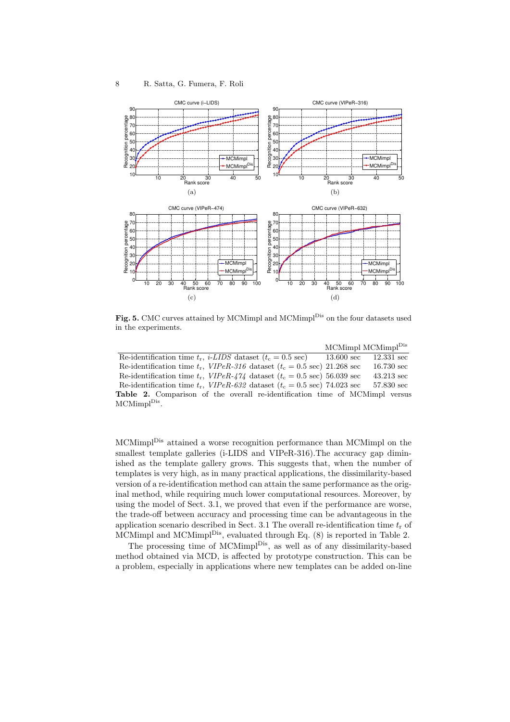

**Fig. 5.** CMC curves attained by MCMimpl and MCMimpl<sup>Dis</sup> on the four datasets used<br>in the experiments in the experiments.

|                                                                                         | MCMimpl MCMimpl <sup>Dis</sup> |                      |
|-----------------------------------------------------------------------------------------|--------------------------------|----------------------|
| Re-identification time $t_r$ , <i>i-LIDS</i> dataset $(t_c = 0.5 \text{ sec})$          | $13.600 \text{ sec}$           | $12.331 \text{ sec}$ |
| Re-identification time $t_r$ , VIPeR-316 dataset ( $t_c = 0.5$ sec) 21.268 sec          |                                | $16.730 \text{ sec}$ |
| Re-identification time $t_r$ , $VIPeR-474$ dataset $(t_c = 0.5 \text{ sec})$ 56.039 sec |                                | $43.213 \text{ sec}$ |
| Re-identification time $t_r$ , $VIPeR-632$ dataset ( $t_c = 0.5$ sec) 74.023 sec        |                                | 57.830 sec           |
| <b>Table 2.</b> Comparison of the overall re-identification time of MCMimpl versus      |                                |                      |
| MCMimpl <sup>Dis</sup> .                                                                |                                |                      |

MCMimplDis attained a worse recognition performance than MCMimpl on the smallest template galleries (i-LIDS and VIPeR-316). The accuracy gap diminished as the template gallery grows. This suggests that, when the number of templates is very high, as in many practical applications, the dissimilarity-based version of a re-identification method can attain the same performance as the original method, while requiring much lower computational resources. Moreover, by using the model of Sect. 3.1, we proved that even if the performance are worse, the trade-off between accuracy and processing time can be advantageous in the application scenario described in Sect. 3.1 The overall re-identification time  $t_r$  of MCMimpl and MCMimpl<sup>Dis</sup>, evaluated through Eq. (8) is reported in Table 2.

The processing time of MCMimpl<sup>Dis</sup>, as well as of any dissimilarity-based method obtained via MCD, is affected by prototype construction. This can be a problem, especially in applications where new templates can be added on-line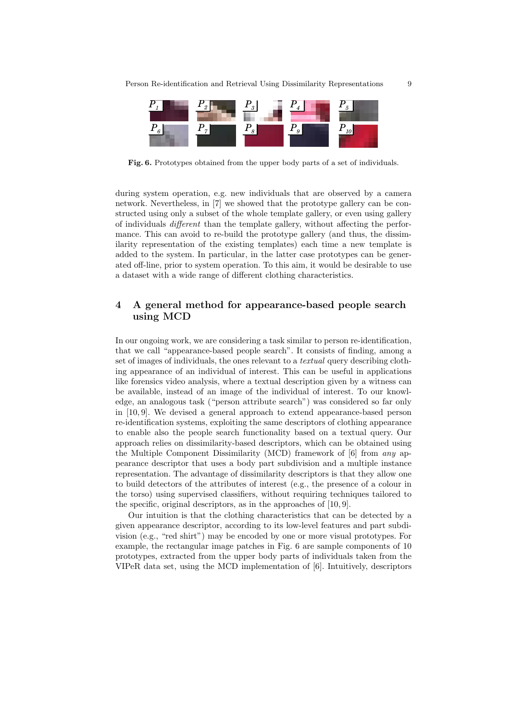

Fig. 6. Prototypes obtained from the upper body parts of a set of individuals.

during system operation, e.g. new individuals that are observed by a camera network. Nevertheless, in [7] we showed that the prototype gallery can be constructed using only a subset of the whole template gallery, or even using gallery of individuals different than the template gallery, without affecting the performance. This can avoid to re-build the prototype gallery (and thus, the dissimilarity representation of the existing templates) each time a new template is added to the system. In particular, in the latter case prototypes can be generated off-line, prior to system operation. To this aim, it would be desirable to use a dataset with a wide range of different clothing characteristics.

# 4 A general method for appearance-based people search using MCD

In our ongoing work, we are considering a task similar to person re-identification, that we call "appearance-based people search". It consists of finding, among a set of images of individuals, the ones relevant to a textual query describing clothing appearance of an individual of interest. This can be useful in applications like forensics video analysis, where a textual description given by a witness can be available, instead of an image of the individual of interest. To our knowledge, an analogous task ("person attribute search") was considered so far only in [10, 9]. We devised a general approach to extend appearance-based person re-identification systems, exploiting the same descriptors of clothing appearance to enable also the people search functionality based on a textual query. Our approach relies on dissimilarity-based descriptors, which can be obtained using the Multiple Component Dissimilarity (MCD) framework of [6] from any appearance descriptor that uses a body part subdivision and a multiple instance representation. The advantage of dissimilarity descriptors is that they allow one to build detectors of the attributes of interest (e.g., the presence of a colour in the torso) using supervised classifiers, without requiring techniques tailored to the specific, original descriptors, as in the approaches of [10, 9].

Our intuition is that the clothing characteristics that can be detected by a given appearance descriptor, according to its low-level features and part subdivision (e.g., "red shirt") may be encoded by one or more visual prototypes. For example, the rectangular image patches in Fig. 6 are sample components of 10 prototypes, extracted from the upper body parts of individuals taken from the VIPeR data set, using the MCD implementation of [6]. Intuitively, descriptors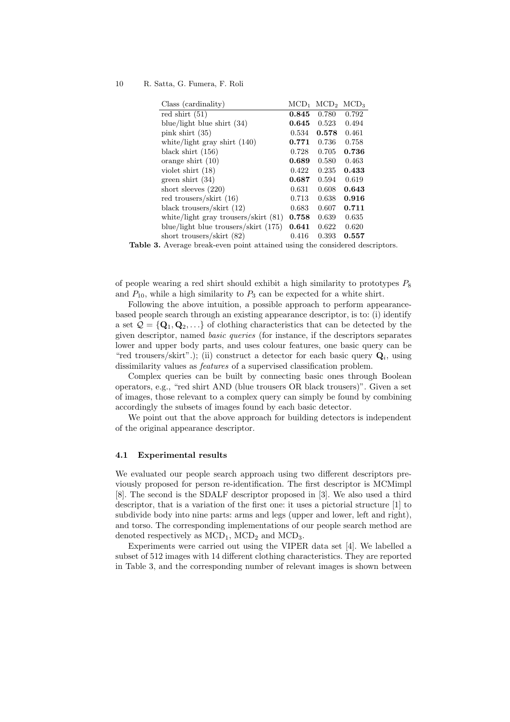#### 10 R. Satta, G. Fumera, F. Roli

| Class (cardinality)                    | $\rm MCD_1$ | MCD <sub>2</sub> | $\rm MCD3$ |
|----------------------------------------|-------------|------------------|------------|
| red shirt $(51)$                       | 0.845       | 0.780            | 0.792      |
| blue/light blue shirt $(34)$           | 0.645       | 0.523            | 0.494      |
| pink shirt $(35)$                      | 0.534       | 0.578            | 0.461      |
| white/light gray shirt $(140)$         | 0.771       | 0.736            | 0.758      |
| black shirt $(156)$                    | 0.728       | 0.705            | 0.736      |
| orange shirt $(10)$                    | 0.689       | 0.580            | 0.463      |
| violet shirt $(18)$                    | 0.422       | 0.235            | 0.433      |
| green shirt $(34)$                     | 0.687       | 0.594            | 0.619      |
| short sleeves $(220)$                  | 0.631       | 0.608            | 0.643      |
| red trousers/skirt (16)                | 0.713       | 0.638            | 0.916      |
| black trousers/skirt $(12)$            | 0.683       | 0.607            | 0.711      |
| white/light gray trousers/skirt $(81)$ | 0.758       | 0.639            | 0.635      |
| blue/light blue trousers/skirt (175)   | 0.641       | 0.622            | 0.620      |
| short trousers/skirt $(82)$            | 0.416       | 0.393            | 0.557      |

Table 3. Average break-even point attained using the considered descriptors.

of people wearing a red shirt should exhibit a high similarity to prototypes  $P_8$ and  $P_{10}$ , while a high similarity to  $P_3$  can be expected for a white shirt.

Following the above intuition, a possible approach to perform appearancebased people search through an existing appearance descriptor, is to: (i) identify a set  $\mathcal{Q} = \{Q_1, Q_2, \ldots\}$  of clothing characteristics that can be detected by the given descriptor, named basic queries (for instance, if the descriptors separates lower and upper body parts, and uses colour features, one basic query can be "red trousers/skirt".); (ii) construct a detector for each basic query  $Q_i$ , using dissimilarity values as features of a supervised classification problem.

Complex queries can be built by connecting basic ones through Boolean operators, e.g., "red shirt AND (blue trousers OR black trousers)". Given a set of images, those relevant to a complex query can simply be found by combining accordingly the subsets of images found by each basic detector.

We point out that the above approach for building detectors is independent of the original appearance descriptor.

### 4.1 Experimental results

We evaluated our people search approach using two different descriptors previously proposed for person re-identification. The first descriptor is MCMimpl [8]. The second is the SDALF descriptor proposed in [3]. We also used a third descriptor, that is a variation of the first one: it uses a pictorial structure [1] to subdivide body into nine parts: arms and legs (upper and lower, left and right), and torso. The corresponding implementations of our people search method are denoted respectively as  $\text{MCD}_1$ ,  $\text{MCD}_2$  and  $\text{MCD}_3$ .

Experiments were carried out using the VIPER data set [4]. We labelled a subset of 512 images with 14 different clothing characteristics. They are reported in Table 3, and the corresponding number of relevant images is shown between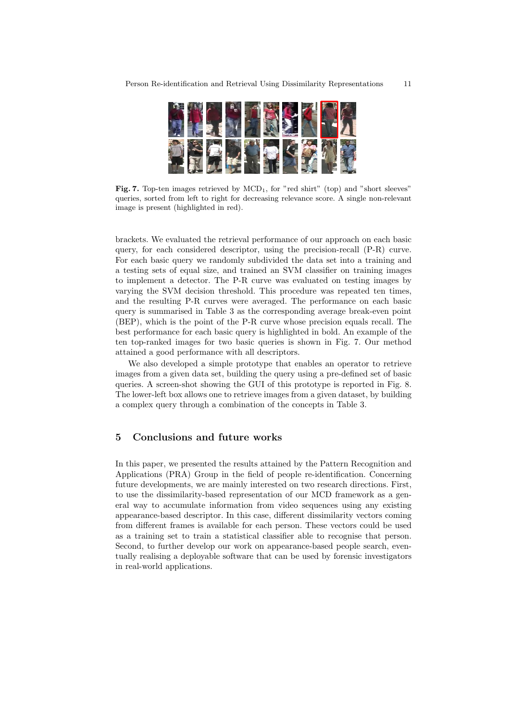

Fig. 7. Top-ten images retrieved by MCD<sub>1</sub>, for "red shirt" (top) and "short sleeves" *score. A single non-relevant image is present (highlighted in red).* queries, sorted from left to right for decreasing relevance score. A single non-relevant image is present (highlighted in red).

brackets. We evaluated the retrieval performance of our approach on each basic query, for each considered descriptor, using the precision-recall (P-R) curve. For each basic query we randomly subdivided the data set into a training and a testing sets of equal size, and trained an SVM classifier on training images to implement a detector. The P-R curve was evaluated on testing images by varying the SVM decision threshold. This procedure was repeated ten times, and the resulting P-R curves were averaged. The performance on each basic query is summarised in Table 3 as the corresponding average break-even point (BEP), which is the point of the P-R curve whose precision equals recall. The best performance for each basic query is highlighted in bold. An example of the ten top-ranked images for two basic queries is shown in Fig. 7. Our method attained a good performance with all descriptors.

We also developed a simple prototype that enables an operator to retrieve images from a given data set, building the query using a pre-defined set of basic queries. A screen-shot showing the GUI of this prototype is reported in Fig. 8. The lower-left box allows one to retrieve images from a given dataset, by building a complex query through a combination of the concepts in Table 3.

## 5 Conclusions and future works

In this paper, we presented the results attained by the Pattern Recognition and Applications (PRA) Group in the field of people re-identification. Concerning future developments, we are mainly interested on two research directions. First, to use the dissimilarity-based representation of our MCD framework as a general way to accumulate information from video sequences using any existing appearance-based descriptor. In this case, different dissimilarity vectors coming from different frames is available for each person. These vectors could be used as a training set to train a statistical classifier able to recognise that person. Second, to further develop our work on appearance-based people search, eventually realising a deployable software that can be used by forensic investigators in real-world applications.